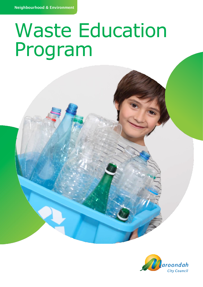# Waste Education Program

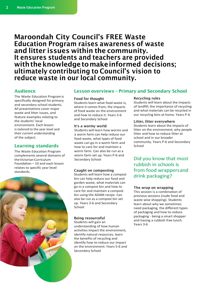## Maroondah City Council's FREE Waste Education Program raises awareness of waste and litter issues within the community. It ensures students and teachers are provided with the knowledge to make informed decisions; ultimately contributing to Council's vision to reduce waste in our local community.

The Waste Education Program is specifically designed for primary and secondary school students. All presentations cover major waste and litter issues, and feature examples relating to the students' local environment. Each lesson is tailored to the year level and their current understanding of the subject.

### Learning standards

The Waste Education Program complements several domains of theVictorianCurriculum Foundation – 10 and each lesson relates to specific year level standards.



#### Audience Lesson overviews – Primary and Secondary School

#### Food for thought

Students learn what food waste is, where it comes from, the impacts of food waste on the environment and how to reduce it. Years 3-6 and Secondary School

#### It**'**s a wormy world

Students will learn how worms and a worm farm can help reduce our food waste, what types of food waste can go in a worm farm and how to care for and maintain a worm farm. Can also be run as a worm farm set up. Years P-6 and Secondary School

#### Caught on composting

Students will learn how a compost bin can help reduce our food and garden waste, what materials can go in a compost bin and how to care for and maintain a compost bin using the ADAM recipe. Can also be run as a compost bin set up. Years 3-6 and Secondary School

#### Being resourceful

Students will gain an understanding of how human activities impact the environment, identify natural resources, learn the benefits of recycling and identify how to reduce our impact on the environment. Years 5-6 and Secondary School

#### Recycling rules

Students will learn about the impacts of landfill; the importance of recycling and what materials can be recycled in our recycling bins at home. Years P-6

#### Litter, litter everywhere

Students learn about the impacts of litter on the environment, why people litter and how to reduce litter at school and in our broader community. Years P-6 and Secondary School

Did you know that most rubbish in schools is from food wrappersand drink packaging?

#### The wrap on wrapping

This session is a combination of previous sessions (nude food and waste wise shopping). Students learn about why we sometimes need packaging, the different types of packaging and how to reduce packaging - being a smart shopper and having a rubbish free lunch. Years 3-6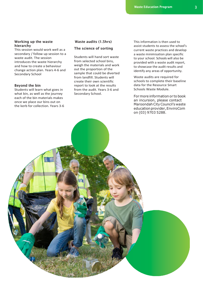#### Working up the waste hierarchy

This session would work well as a secondary / follow up session to a waste audit. The session introduces the waste hierarchy and how to create a behaviour change action plan. Years 4-6 and Secondary School

#### Beyond the bin

Students will learn what goes in what bin, as well as the journey each of the bin materials makes once we place our bins out on the kerb for collection. Years 3-6

#### Waste audits (1.5hrs)

#### The science of sorting

Students will hand sort waste from selected school bins, weigh the materials and work out the proportion of the sample that could be diverted from landfill. Students will create their own scientific report to look at the results from the audit. Years 3-6 and Secondary School.

This information is then used to assist students to assess the school's current waste practices and develop a waste minimisation plan specific to your school. Schools will also be provided with a waste audit report, to showcase the audit results and identify any areas of opportunity.

Waste audits are required for schools to complete their baseline data for the Resource Smart Schools Waste Module.

Formore information or to book an incursion, please contact Maroondah City Council's waste education provider, EnviroCom on (03) 9703 5288.